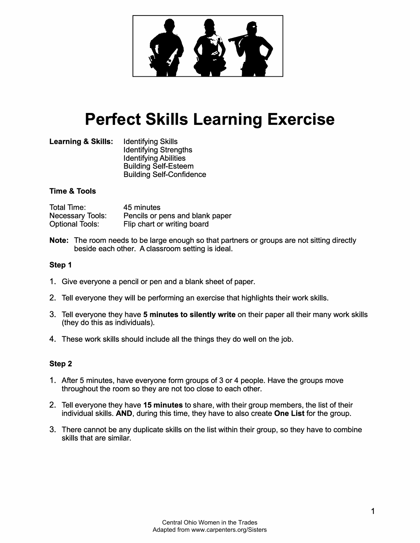

# **Perfect Skills Learning Exercise**

**Learning & Skills:** Identifying Skills Identifying Strengths Identifying Abilities Building Self-Esteem Building Self-Confidence

#### **Time & Tools**

| Total Time:             | 45 minutes                      |
|-------------------------|---------------------------------|
| <b>Necessary Tools:</b> | Pencils or pens and blank paper |
| <b>Optional Tools:</b>  | Flip chart or writing board     |

**Note:** The room needs to be large enough so that partners or groups are not sitting directly beside each other. A classroom setting is ideal.

#### **Step 1**

- 1. Give everyone a pencil or pen and a blank sheet of paper.
- 2. Tell everyone they will be performing an exercise that highlights their work skills.
- 3. Tell everyone they have **5 minutes to silently write** on their paper all their many work skills (they do this as individuals).
- 4. These work skills should include all the things they do well on the job.

## **Step 2**

- 1. After 5 minutes, have everyone form groups of 3 or 4 people. Have the groups move throughout the room so they are not too close to each other.
- 2. Tell everyone they have **15 minutes** to share, with their group members, the list of their individual skills. **AND,** during this time, they have to also create **One List** for the group.
- 3. There cannot be any duplicate skills on the list within their group, so they have to combine skills that are similar.